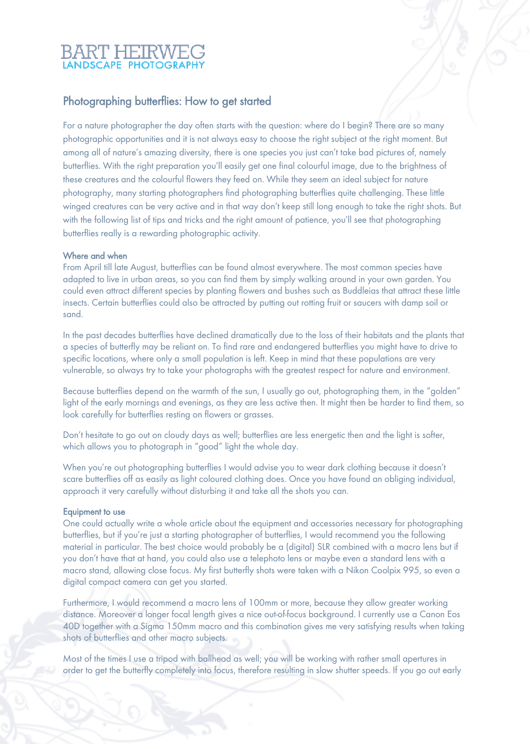# Photographing butterflies: How to get started

For a nature photographer the day often starts with the question: where do I begin? There are so many photographic opportunities and it is not always easy to choose the right subject at the right moment. But among all of nature's amazing diversity, there is one species you just can't take bad pictures of, namely butterflies. With the right preparation you'll easily get one final colourful image, due to the brightness of these creatures and the colourful flowers they feed on. While they seem an ideal subject for nature photography, many starting photographers find photographing butterflies quite challenging. These little winged creatures can be very active and in that way don't keep still long enough to take the right shots. But with the following list of tips and tricks and the right amount of patience, you'll see that photographing butterflies really is a rewarding photographic activity.

## Where and when

From April till late August, butterflies can be found almost everywhere. The most common species have adapted to live in urban areas, so you can find them by simply walking around in your own garden. You could even attract different species by planting flowers and bushes such as Buddleias that attract these little insects. Certain butterflies could also be attracted by putting out rotting fruit or saucers with damp soil or sand.

In the past decades butterflies have declined dramatically due to the loss of their habitats and the plants that a species of butterfly may be reliant on. To find rare and endangered butterflies you might have to drive to specific locations, where only a small population is left. Keep in mind that these populations are very vulnerable, so always try to take your photographs with the greatest respect for nature and environment.

Because butterflies depend on the warmth of the sun, I usually go out, photographing them, in the "golden" light of the early mornings and evenings, as they are less active then. It might then be harder to find them, so look carefully for butterflies resting on flowers or grasses.

Don't hesitate to go out on cloudy days as well; butterflies are less energetic then and the light is softer, which allows you to photograph in "good" light the whole day.

When you're out photographing butterflies I would advise you to wear dark clothing because it doesn't scare butterflies off as easily as light coloured clothing does. Once you have found an obliging individual, approach it very carefully without disturbing it and take all the shots you can.

### Equipment to use

One could actually write a whole article about the equipment and accessories necessary for photographing butterflies, but if you're just a starting photographer of butterflies, I would recommend you the following material in particular. The best choice would probably be a (digital) SLR combined with a macro lens but if you don't have that at hand, you could also use a telephoto lens or maybe even a standard lens with a macro stand, allowing close focus. My first butterfly shots were taken with a Nikon Coolpix 995, so even a digital compact camera can get you started.

Furthermore, I would recommend a macro lens of 100mm or more, because they allow greater working distance. Moreover a longer focal length gives a nice out-of-focus background. I currently use a Canon Eos 40D together with a Sigma 150mm macro and this combination gives me very satisfying results when taking shots of butterflies and other macro subjects.

Most of the times I use a tripod with ballhead as well; you will be working with rather small apertures in order to get the butterfly completely into focus, therefore resulting in slow shutter speeds. If you go out early